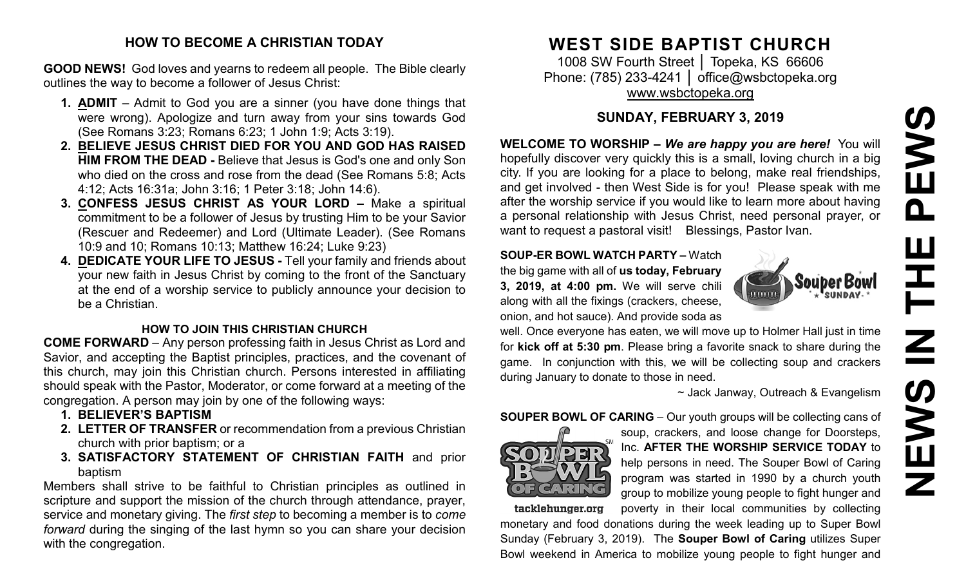# PEWS **NEWS IN THE PEWS**곤  $\overline{\mathsf{Z}}$ **SARNE**

#### **HOW TO BECOME A CHRISTIAN TODAY**

**GOOD NEWS!** God loves and yearns to redeem all people. The Bible clearly outlines the way to become a follower of Jesus Christ:

- **1. ADMIT** Admit to God you are a sinner (you have done things that were wrong). Apologize and turn away from your sins towards God (See Romans 3:23; Romans 6:23; 1 John 1:9; Acts 3:19).
- **2. BELIEVE JESUS CHRIST DIED FOR YOU AND GOD HAS RAISED HIM FROM THE DEAD -** Believe that Jesus is God's one and only Son who died on the cross and rose from the dead (See Romans 5:8; Acts 4:12; Acts 16:31a; John 3:16; 1 Peter 3:18; John 14:6).
- **3. CONFESS JESUS CHRIST AS YOUR LORD –** Make a spiritual commitment to be a follower of Jesus by trusting Him to be your Savior (Rescuer and Redeemer) and Lord (Ultimate Leader). (See Romans 10:9 and 10; Romans 10:13; Matthew 16:24; Luke 9:23)
- **4. DEDICATE YOUR LIFE TO JESUS -** Tell your family and friends about your new faith in Jesus Christ by coming to the front of the Sanctuary at the end of a worship service to publicly announce your decision to be a Christian.

## **HOW TO JOIN THIS CHRISTIAN CHURCH**

**COME FORWARD** – Any person professing faith in Jesus Christ as Lord and Savior, and accepting the Baptist principles, practices, and the covenant of this church, may join this Christian church. Persons interested in affiliating should speak with the Pastor, Moderator, or come forward at a meeting of the congregation. A person may join by one of the following ways:

- **1. BELIEVER'S BAPTISM**
- **2. LETTER OF TRANSFER** or recommendation from a previous Christian church with prior baptism; or a
- **3. SATISFACTORY STATEMENT OF CHRISTIAN FAITH** and prior baptism

Members shall strive to be faithful to Christian principles as outlined in scripture and support the mission of the church through attendance, prayer, service and monetary giving. The *first step* to becoming a member is to *come forward* during the singing of the last hymn so you can share your decision with the congregation.

# **WEST SIDE BAPTIST CHURCH**

1008 SW Fourth Street | Topeka, KS 66606 Phone: (785) 233-4241 │ [office@wsbctopeka.org](mailto:office@wsbctopeka.org) [www.wsbctopeka.org](http://www.wsbctopeka.org/)

# **SUNDAY, FEBRUARY 3, 2019**

**WELCOME TO WORSHIP –** *We are happy you are here!* You will hopefully discover very quickly this is a small, loving church in a big city. If you are looking for a place to belong, make real friendships, and get involved - then West Side is for you! Please speak with me after the worship service if you would like to learn more about having a personal relationship with Jesus Christ, need personal prayer, or want to request a pastoral visit! Blessings, Pastor Ivan.

#### **SOUP-ER BOWL WATCH PARTY –** Watch

the big game with all of **us today, February 3, 2019, at 4:00 pm.** We will serve chili along with all the fixings (crackers, cheese, onion, and hot sauce). And provide soda as



well. Once everyone has eaten, we will move up to Holmer Hall just in time for **kick off at 5:30 pm**. Please bring a favorite snack to share during the game. In conjunction with this, we will be collecting soup and crackers during January to donate to those in need.

~ Jack Janway, Outreach & Evangelism

## **SOUPER BOWL OF CARING** – Our youth groups will be collecting cans of



soup, crackers, and loose change for Doorsteps, Inc. **AFTER THE WORSHIP SERVICE TODAY** to help persons in need. The Souper Bowl of Caring program was started in 1990 by a church youth group to mobilize young people to fight hunger and poverty in their local communities by collecting

tacklehunger.org

monetary and food donations during the week leading up to Super Bowl Sunday (February 3, 2019). The **Souper Bowl of Caring** utilizes Super Bowl weekend in America to mobilize young people to fight hunger and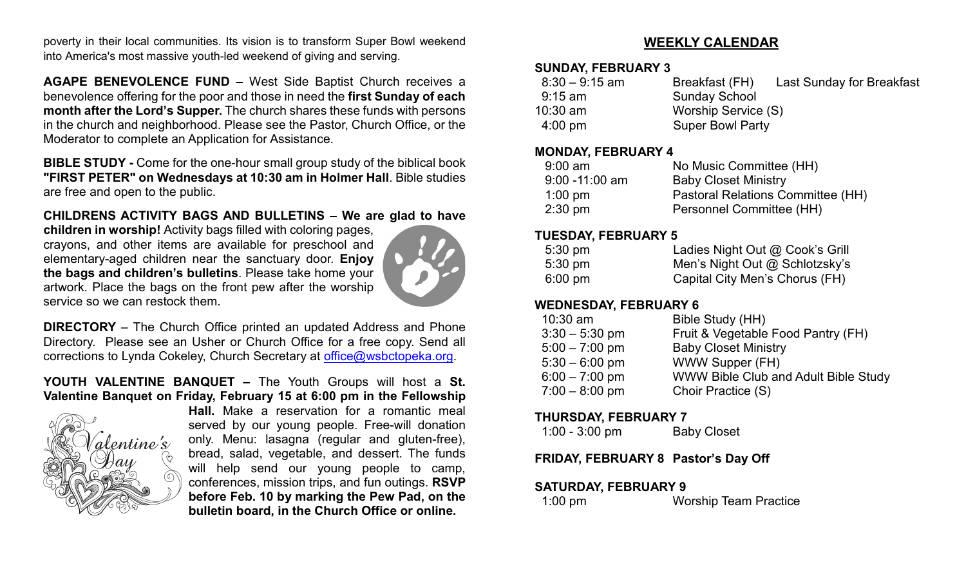poverty in their local communities. Its vision is to transform Super Bowl weekend into America's most massive youth-led weekend of giving and serving.

**AGAPE BENEVOLENCE FUND –** West Side Baptist Church receives a benevolence offering for the poor and those in need the **first Sunday of each month after the Lord's Supper.** The church shares these funds with persons in the church and neighborhood. Please see the Pastor, Church Office, or the Moderator to complete an Application for Assistance.

**BIBLE STUDY -** Come for the one-hour small group study of the biblical book **"FIRST PETER" on Wednesdays at 10:30 am in Holmer Hall**. Bible studies are free and open to the public.

#### **CHILDRENS ACTIVITY BAGS AND BULLETINS – We are glad to have**

**children in worship!** Activity bags filled with coloring pages, crayons, and other items are available for preschool and elementary-aged children near the sanctuary door. **Enjoy the bags and children's bulletins**. Please take home your artwork. Place the bags on the front pew after the worship service so we can restock them.



**DIRECTORY** – The Church Office printed an updated Address and Phone Directory. Please see an Usher or Church Office for a free copy. Send all corrections to Lynda Cokeley, Church Secretary at [office@wsbctopeka.org.](mailto:office@wsbctopeka.org)

#### **YOUTH VALENTINE BANQUET –** The Youth Groups will host a **St. Valentine Banquet on Friday, February 15 at 6:00 pm in the Fellowship**



**Hall.** Make a reservation for a romantic meal served by our young people. Free-will donation only. Menu: lasagna (regular and gluten-free), bread, salad, vegetable, and dessert. The funds will help send our young people to camp, conferences, mission trips, and fun outings. **RSVP before Feb. 10 by marking the Pew Pad, on the bulletin board, in the Church Office or online.**

#### **WEEKLY CALENDAR**

#### **SUNDAY, FEBRUARY 3**

| $8:30-9:15$ am    | Breakfast (FH)          | Last Sunday for Breakfast |
|-------------------|-------------------------|---------------------------|
| 9:15 am           | <b>Sunday School</b>    |                           |
| $10:30$ am        | Worship Service (S)     |                           |
| $4:00 \text{ pm}$ | <b>Super Bowl Party</b> |                           |

#### **MONDAY, FEBRUARY 4**

| $9:00$ am         | No Music Committee (HH)           |
|-------------------|-----------------------------------|
| $9:00 - 11:00$ am | <b>Baby Closet Ministry</b>       |
| $1:00$ pm         | Pastoral Relations Committee (HH) |
| $2:30 \text{ pm}$ | Personnel Committee (HH)          |

#### **TUESDAY, FEBRUARY 5**

| $5:30 \text{ pm}$ | Ladies Night Out @ Cook's Grill |
|-------------------|---------------------------------|
| $5:30 \text{ pm}$ | Men's Night Out @ Schlotzsky's  |
| $6:00 \text{ pm}$ | Capital City Men's Chorus (FH)  |

#### **WEDNESDAY, FEBRUARY 6**

| $10:30$ am       | Bible Study (HH)                     |
|------------------|--------------------------------------|
| $3:30 - 5:30$ pm | Fruit & Vegetable Food Pantry (FH)   |
| $5:00 - 7:00$ pm | <b>Baby Closet Ministry</b>          |
| $5:30 - 6:00$ pm | WWW Supper (FH)                      |
| $6:00 - 7:00$ pm | WWW Bible Club and Adult Bible Study |
| $7:00 - 8:00$ pm | Choir Practice (S)                   |

#### **THURSDAY, FEBRUARY 7**

#### **FRIDAY, FEBRUARY 8 Pastor's Day Off**

#### **SATURDAY, FEBRUARY 9**

| $1:00$ pm | <b>Worship Team Practice</b> |
|-----------|------------------------------|
|           |                              |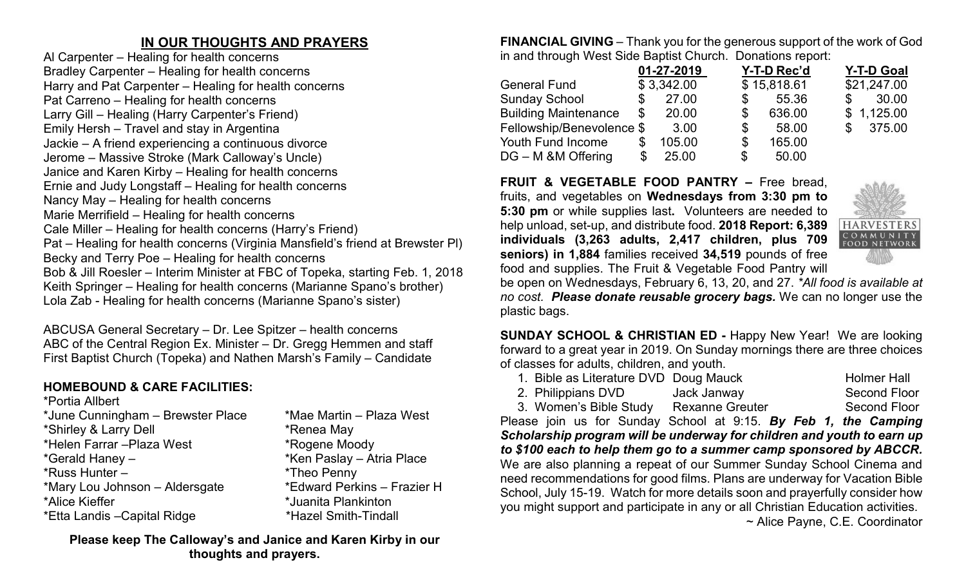# **IN OUR THOUGHTS AND PRAYERS**

Al Carpenter – Healing for health concerns Bradley Carpenter – Healing for health concerns Harry and Pat Carpenter – Healing for health concerns Pat Carreno – Healing for health concerns Larry Gill – Healing (Harry Carpenter's Friend) Emily Hersh – Travel and stay in Argentina Jackie – A friend experiencing a continuous divorce Jerome – Massive Stroke (Mark Calloway's Uncle) Janice and Karen Kirby – Healing for health concerns Ernie and Judy Longstaff – Healing for health concerns Nancy May – Healing for health concerns Marie Merrifield – Healing for health concerns Cale Miller – Healing for health concerns (Harry's Friend) Pat – Healing for health concerns (Virginia Mansfield's friend at Brewster Pl) Becky and Terry Poe – Healing for health concerns Bob & Jill Roesler – Interim Minister at FBC of Topeka, starting Feb. 1, 2018 Keith Springer – Healing for health concerns (Marianne Spano's brother) Lola Zab - Healing for health concerns (Marianne Spano's sister)

ABCUSA General Secretary – Dr. Lee Spitzer – health concerns ABC of the Central Region Ex. Minister – Dr. Gregg Hemmen and staff First Baptist Church (Topeka) and Nathen Marsh's Family – Candidate

# **HOMEBOUND & CARE FACILITIES:**

\*Portia Allbert \*June Cunningham – Brewster Place \*Mae Martin – Plaza West \*Shirley & Larry Dell \*Renea May \*Helen Farrar –Plaza West \*Rogene Moody \*Gerald Haney – \* \*Ken Paslay – Atria Place \*Russ Hunter – \*Theo Penny \*Mary Lou Johnson – Aldersgate \*Edward Perkins – Frazier H \*Alice Kieffer \*Juanita Plankinton \*Etta Landis –Capital Ridge \*Hazel Smith-Tindall

**Please keep The Calloway's and Janice and Karen Kirby in our thoughts and prayers.**

**FINANCIAL GIVING** – Thank you for the generous support of the work of God in and through West Side Baptist Church. Donations report:

|                             | 01-27-2019   |    | Y-T-D Rec'd | <b>Y-T-D Goal</b>     |
|-----------------------------|--------------|----|-------------|-----------------------|
| <b>General Fund</b>         | \$3,342.00   |    | \$15,818.61 | \$21,247.00           |
| <b>Sunday School</b>        | \$<br>27.00  | S  | 55.36       | 30.00<br>$\mathbb{S}$ |
| <b>Building Maintenance</b> | \$<br>20.00  | \$ | 636.00      | \$1,125.00            |
| Fellowship/Benevolence \$   | 3.00         | \$ | 58.00       | 375.00<br>\$          |
| Youth Fund Income           | \$<br>105.00 | \$ | 165.00      |                       |
| DG – M & M Offering         | \$<br>25.00  | \$ | 50.00       |                       |

**FRUIT & VEGETABLE FOOD PANTRY –** Free bread, fruits, and vegetables on **Wednesdays from 3:30 pm to 5:30 pm** or while supplies last**.** Volunteers are needed to help unload, set-up, and distribute food. **2018 Report: 6,389 individuals (3,263 adults, 2,417 children, plus 709 seniors) in 1,884** families received **34,519** pounds of free food and supplies. The Fruit & Vegetable Food Pantry will



be open on Wednesdays, February 6, 13, 20, and 27. *\*All food is available at no cost. Please donate reusable grocery bags.* We can no longer use the plastic bags.

**SUNDAY SCHOOL & CHRISTIAN ED -** Happy New Year! We are looking forward to a great year in 2019. On Sunday mornings there are three choices of classes for adults, children, and youth.

- 1. Bible as Literature DVD Doug Mauck Holmer Hall
- 2. Philippians DVD Jack Janway Second Floor

Please join us for Sunday School at 9:15. *By Feb 1, the Camping Scholarship program will be underway for children and youth to earn up to \$100 each to help them go to a summer camp sponsored by ABCCR.* We are also planning a repeat of our Summer Sunday School Cinema and need recommendations for good films. Plans are underway for Vacation Bible School, July 15-19. Watch for more details soon and prayerfully consider how you might support and participate in any or all Christian Education activities. ~ Alice Payne, C.E. Coordinator

<sup>3.</sup> Women's Bible Study Rexanne Greuter Second Floor